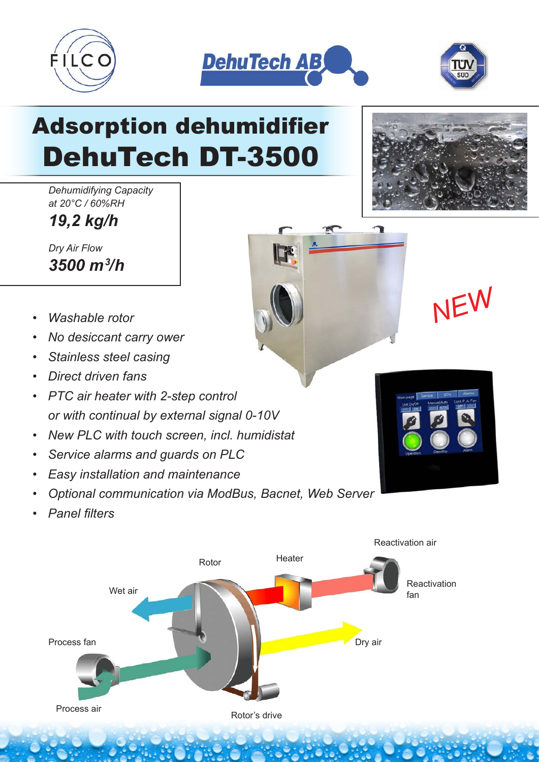





## Adsorption dehumidifier DehuTech DT-3500

*Dehumidifying Capacity at 20°C / 60%RH*

*19,2 kg/h*

*Dry Air Flow 3500 m3 /h*

- *Washable rotor*
- *No desiccant carry ower*
- *Stainless steel casing*
- *Direct driven fans*
- *PTC air heater with 2-step control or with continual by external signal 0-10V*
- *New PLC with touch screen, incl. humidistat*
- *Service alarms and guards on PLC*
- *Easy installation and maintenance*
- *Optional communication via ModBus, Bacnet, Web Server*
- *Panel filters*